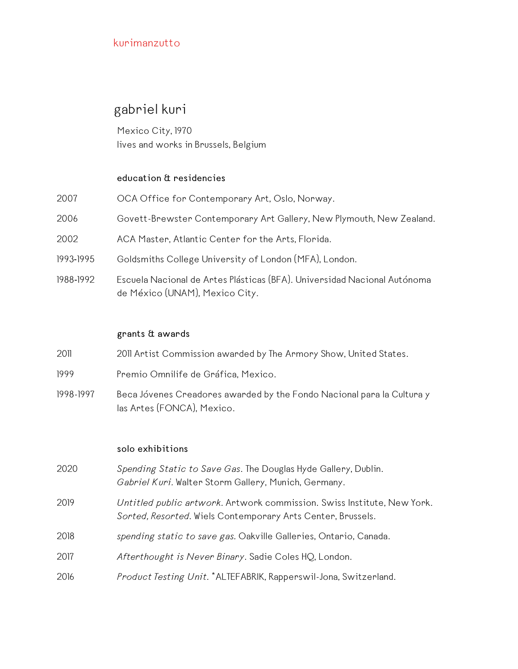# gabriel kuri

Mexico City, 1970 lives and works in Brussels, Belgium

#### **education & residencies**

| 2007      | OCA Office for Contemporary Art, Oslo, Norway.                                                             |
|-----------|------------------------------------------------------------------------------------------------------------|
| 2006      | Govett-Brewster Contemporary Art Gallery, New Plymouth, New Zealand.                                       |
| 2002      | ACA Master, Atlantic Center for the Arts, Florida.                                                         |
| 1993-1995 | Goldsmiths College University of London (MFA), London.                                                     |
| 1988-1992 | Escuela Nacional de Artes Plásticas (BFA). Universidad Nacional Autónoma<br>de México (UNAM), Mexico City. |

#### **grants & awards**

| 2011      | 2011 Artist Commission awarded by The Armory Show, United States.                                    |
|-----------|------------------------------------------------------------------------------------------------------|
| 1999      | Premio Omnilife de Gráfica, Mexico.                                                                  |
| 1998-1997 | Beca Jóvenes Creadores awarded by the Fondo Nacional para la Cultura y<br>las Artes (FONCA), Mexico. |

#### **solo exhibitions**

 *Spending Static to Save Gas*. The Douglas Hyde Gallery, Dublin. *Gabriel Kuri.* Walter Storm Gallery, Munich, Germany. *Untitled public artwork.* Artwork commission. Swiss Institute, New York. *Sorted, Resorted.* Wiels Contemporary Arts Center, Brussels. *spending static to save gas.* Oakville Galleries, Ontario, Canada. *Afterthought is Never Binary*. Sadie Coles HQ, London. *Product Testing Unit.* \*ALTEFABRIK, Rapperswil-Jona, Switzerland.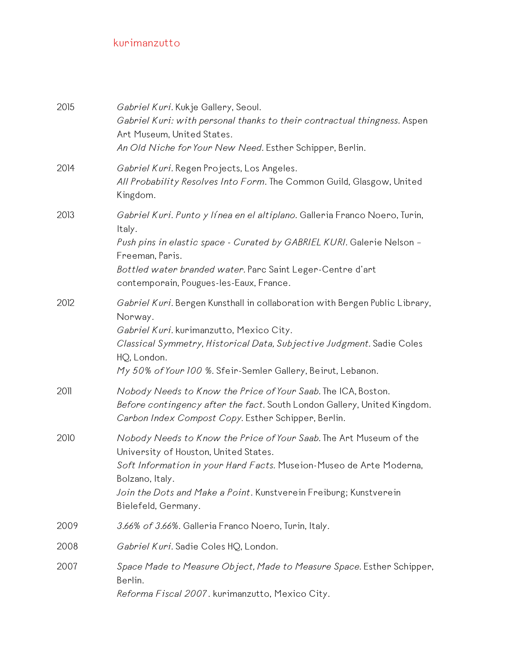| 2015 | Gabriel Kuri. Kukje Gallery, Seoul.<br>Gabriel Kuri: with personal thanks to their contractual thingness. Aspen<br>Art Museum, United States.<br>An Old Niche for Your New Need. Esther Schipper, Berlin.                                                                                         |
|------|---------------------------------------------------------------------------------------------------------------------------------------------------------------------------------------------------------------------------------------------------------------------------------------------------|
| 2014 | Gabriel Kuri. Regen Projects, Los Angeles.<br>All Probability Resolves Into Form. The Common Guild, Glasgow, United<br>Kingdom.                                                                                                                                                                   |
| 2013 | Gabriel Kuri. Punto y línea en el altiplano. Galleria Franco Noero, Turin,<br>Italy.<br>Push pins in elastic space - Curated by GABRIEL KURI. Galerie Nelson -<br>Freeman, Paris.<br>Bottled water branded water. Parc Saint Leger-Centre d'art<br>contemporain, Pougues-les-Eaux, France.        |
| 2012 | Gabriel Kuri. Bergen Kunsthall in collaboration with Bergen Public Library,<br>Norway.<br>Gabriel Kuri. kurimanzutto, Mexico City.<br>Classical Symmetry, Historical Data, Subjective Judgment. Sadie Coles<br>HQ, London.<br>My 50% of Your 100 %. Sfeir-Semler Gallery, Beirut, Lebanon.        |
| 2011 | Nobody Needs to Know the Price of Your Saab. The ICA, Boston.<br>Before contingency after the fact. South London Gallery, United Kingdom.<br>Carbon Index Compost Copy. Esther Schipper, Berlin.                                                                                                  |
| 2010 | Nobody Needs to Know the Price of Your Saab. The Art Museum of the<br>University of Houston, United States.<br>Soft Information in your Hard Facts. Museion-Museo de Arte Moderna,<br>Bolzano, Italy.<br>Join the Dots and Make a Point. Kunstverein Freiburg; Kunstverein<br>Bielefeld, Germany. |
| 2009 | 3.66% of 3.66%. Galleria Franco Noero, Turin, Italy.                                                                                                                                                                                                                                              |
| 2008 | Gabriel Kuri. Sadie Coles HQ, London.                                                                                                                                                                                                                                                             |
| 2007 | Space Made to Measure Object, Made to Measure Space. Esther Schipper,<br>Berlin.<br>Reforma Fiscal 2007. kurimanzutto, Mexico City.                                                                                                                                                               |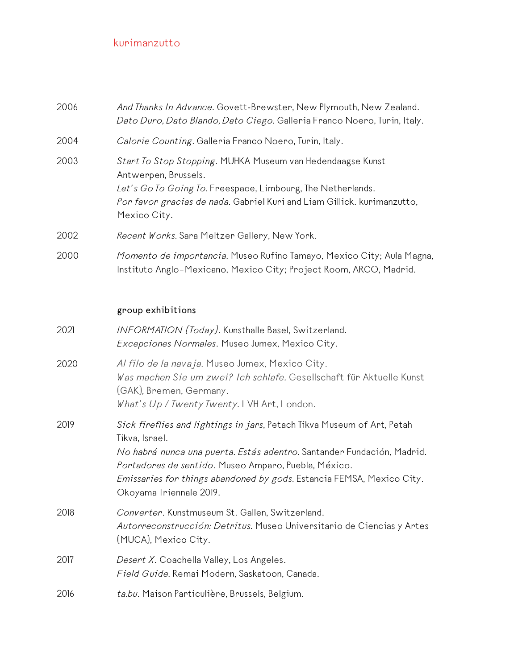| 2006 | And Thanks In Advance. Govett-Brewster, New Plymouth, New Zealand.<br>Dato Duro, Dato Blando, Dato Ciego. Galleria Franco Noero, Turin, Italy.                                                                                               |
|------|----------------------------------------------------------------------------------------------------------------------------------------------------------------------------------------------------------------------------------------------|
| 2004 | Calorie Counting. Galleria Franco Noero, Turin, Italy.                                                                                                                                                                                       |
| 2003 | Start To Stop Stopping. MUHKA Museum van Hedendaagse Kunst<br>Antwerpen, Brussels.<br>Let's Go To Going To. Freespace, Limbourg, The Netherlands.<br>Por favor gracias de nada. Gabriel Kuri and Liam Gillick. kurimanzutto,<br>Mexico City. |
| 2002 | Recent Works. Sara Meltzer Gallery, New York.                                                                                                                                                                                                |
| 2000 | Momento de importancia. Museo Rufino Tamayo, Mexico City; Aula Magna,<br>Instituto Anglo-Mexicano, Mexico City; Project Room, ARCO, Madrid.                                                                                                  |
|      | group exhibitions                                                                                                                                                                                                                            |
| 2021 | INFORMATION (Today). Kunsthalle Basel, Switzerland.<br>Excepciones Normales. Museo Jumex, Mexico City.                                                                                                                                       |
| 2020 | Al filo de la navaja. Museo Jumex, Mexico City.<br>Was machen Sie um zwei? Ich schlafe. Gesellschaft für Aktuelle Kunst                                                                                                                      |

|      | <i>EXCEPCIONES INOPMAIES.</i> PIUSEO JUMEX, PIEXICO UITY.                                                                                                                                                                                                                                                                              |
|------|----------------------------------------------------------------------------------------------------------------------------------------------------------------------------------------------------------------------------------------------------------------------------------------------------------------------------------------|
| 2020 | Al filo de la navaja. Museo Jumex, Mexico City.<br>Was machen Sie um zwei? Ich schlafe. Gesellschaft für Aktuelle Kunst<br>(GAK), Bremen, Germany.<br>What's Up / Twenty Twenty. LVH Art, London.                                                                                                                                      |
| 2019 | Sick fireflies and lightings in jars, Petach Tikva Museum of Art, Petah<br>Tikva, Israel.<br>No habrá nunca una puerta. Estás adentro. Santander Fundación, Madrid.<br>Portadores de sentido. Museo Amparo, Puebla, México.<br><i>Emissaries for things abandoned by gods.</i> Estancia FEMSA, Mexico City.<br>Okoyama Triennale 2019. |
| 2018 | Converter. Kunstmuseum St. Gallen, Switzerland.<br>Autorreconstrucción: Detritus. Museo Universitario de Ciencias y Artes<br>(MUCA), Mexico City.                                                                                                                                                                                      |
| 2017 | Desert X. Coachella Valley, Los Angeles.<br>Field Guide. Remai Modern, Saskatoon, Canada.                                                                                                                                                                                                                                              |
| 2016 | ta.bu. Maison Particulière, Brussels, Belgium.                                                                                                                                                                                                                                                                                         |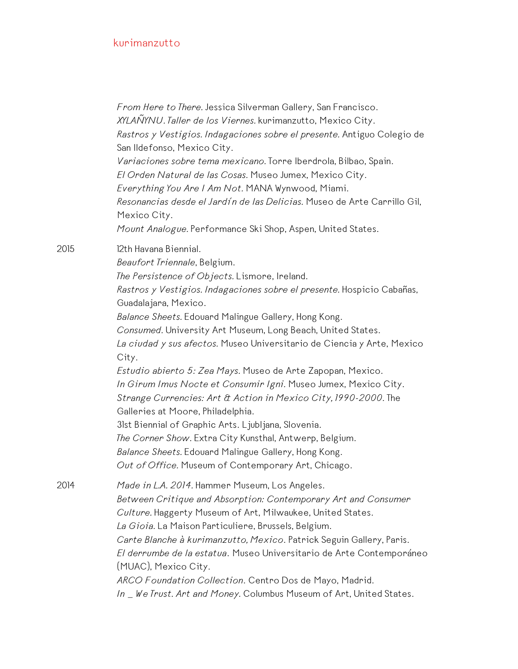*From Here to There.* Jessica Silverman Gallery, San Francisco. *XYLAÑYNU. Taller de los Viernes.* kurimanzutto, Mexico City. *Rastros y Vestigios. Indagaciones sobre el presente.* Antiguo Colegio de San Ildefonso, Mexico City. *Variaciones sobre tema mexicano.* Torre Iberdrola, Bilbao, Spain. *El Orden Natural de las Cosas.* Museo Jumex, Mexico City. *Everything You Are I Am Not.* MANA Wynwood, Miami. *Resonancias desde el Jardín de las Delicias.* Museo de Arte Carrillo Gil, Mexico City. *Mount Analogue.* Performance Ski Shop, Aspen, United States. 2015 12th Havana Biennial. *Beaufort Triennale*, Belgium. *The Persistence of Objects.* Lismore, Ireland. *Rastros y Vestigios. Indagaciones sobre el presente.* Hospicio Cabañas, Guadalajara, Mexico. *Balance Sheets.* Edouard Malingue Gallery, Hong Kong. *Consumed.* University Art Museum, Long Beach, United States. *La ciudad y sus afectos.* Museo Universitario de Ciencia y Arte, Mexico City. *Estudio abierto 5: Zea Mays.* Museo de Arte Zapopan, Mexico. *In Girum Imus Nocte et Consumir Igni.* Museo Jumex, Mexico City. *Strange Currencies: Art & Action in Mexico City, 1990-2000.* The Galleries at Moore, Philadelphia. 31st Biennial of Graphic Arts. Ljubljana, Slovenia. *The Corner Show.* Extra City Kunsthal, Antwerp, Belgium. *Balance Sheets.* Edouard Malingue Gallery, Hong Kong. *Out of Office.* Museum of Contemporary Art, Chicago. 2014 *Made in L.A. 2014.* Hammer Museum, Los Angeles. *Between Critique and Absorption: Contemporary Art and Consumer Culture.* Haggerty Museum of Art, Milwaukee, United States. *La Gioia.* La Maison Particuliere, Brussels, Belgium. *Carte Blanche à kurimanzutto, Mexico*. Patrick Seguin Gallery, Paris. *El derrumbe de la estatua*. Museo Universitario de Arte Contemporáneo (MUAC), Mexico City. *ARCO Foundation Collection*. Centro Dos de Mayo, Madrid. *In \_ We Trust. Art and Money.* Columbus Museum of Art, United States.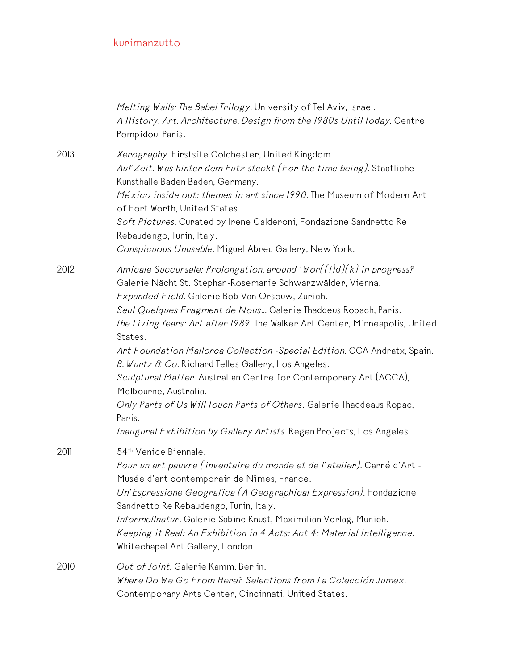|      | Melting Walls: The Babel Trilogy. University of Tel Aviv, Israel.<br>A History. Art, Architecture, Design from the 1980s Until Today. Centre<br>Pompidou, Paris.                                                                                                                                                                                                                                                                                                                                                                                                                                                                                                                                                                                  |
|------|---------------------------------------------------------------------------------------------------------------------------------------------------------------------------------------------------------------------------------------------------------------------------------------------------------------------------------------------------------------------------------------------------------------------------------------------------------------------------------------------------------------------------------------------------------------------------------------------------------------------------------------------------------------------------------------------------------------------------------------------------|
| 2013 | Xerography. Firstsite Colchester, United Kingdom.<br>Auf Zeit. Was hinter dem Putz steckt (For the time being). Staatliche<br>Kunsthalle Baden Baden, Germany.<br>México inside out: themes in art since 1990. The Museum of Modern Art<br>of Fort Worth, United States.<br>Soft Pictures. Curated by Irene Calderoni, Fondazione Sandretto Re<br>Rebaudengo, Turin, Italy.<br>Conspicuous Unusable. Miguel Abreu Gallery, New York.                                                                                                                                                                                                                                                                                                              |
| 2012 | Amicale Succursale: Prolongation, around 'Wor $((1)d)(k)$ in progress?<br>Galerie Nächt St. Stephan-Rosemarie Schwarzwälder, Vienna.<br>Expanded Field. Galerie Bob Van Orsouw, Zurich.<br>Seul Quelques Fragment de Nous Galerie Thaddeus Ropach, Paris.<br>The Living Years: Art after 1989. The Walker Art Center, Minneapolis, United<br>States.<br>Art Foundation Mallorca Collection -Special Edition. CCA Andratx, Spain.<br>B. Wurtz & Co. Richard Telles Gallery, Los Angeles.<br>Sculptural Matter. Australian Centre for Contemporary Art (ACCA),<br>Melbourne, Australia.<br>Only Parts of Us Will Touch Parts of Others. Galerie Thaddeaus Ropac,<br>Paris.<br>Inaugural Exhibition by Gallery Artists. Regen Projects, Los Angeles. |
| 2011 | 54 <sup>th</sup> Venice Biennale.<br>Pour un art pauvre (inventaire du monde et de l'atelier). Carré d'Art -<br>Musée d'art contemporain de Nîmes, France.<br>Un'Espressione Geografica (A Geographical Expression). Fondazione<br>Sandretto Re Rebaudengo, Turin, Italy.<br>Informellnatur. Galerie Sabine Knust, Maximilian Verlag, Munich.<br>Keeping it Real: An Exhibition in 4 Acts: Act 4: Material Intelligence.<br>Whitechapel Art Gallery, London.                                                                                                                                                                                                                                                                                      |
| 2010 | Out of Joint. Galerie Kamm, Berlin.<br>Where Do We Go From Here? Selections from La Colección Jumex.<br>Contemporary Arts Center, Cincinnati, United States.                                                                                                                                                                                                                                                                                                                                                                                                                                                                                                                                                                                      |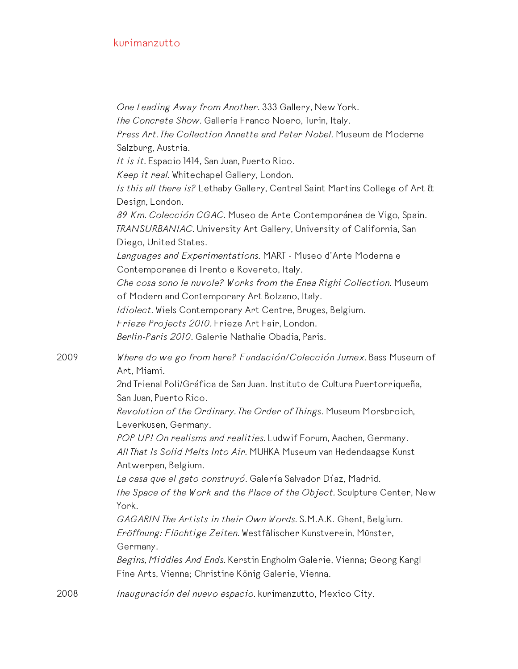*One Leading Away from Another.* 333 Gallery, New York. *The Concrete Show.* Galleria Franco Noero, Turin, Italy. *Press Art. The Collection Annette and Peter Nobel.* Museum de Moderne Salzburg, Austria. *It is it.* Espacio 1414, San Juan, Puerto Rico. *Keep it real.* Whitechapel Gallery, London. *Is this all there is?* Lethaby Gallery, Central Saint Martins College of Art & Design, London. *89 Km. Colección CGAC.* Museo de Arte Contemporánea de Vigo, Spain. *TRANSURBANIAC.* University Art Gallery, University of California, San Diego, United States. *Languages and Experimentations.* MART - Museo d'Arte Moderna e Contemporanea di Trento e Rovereto, Italy. *Che cosa sono le nuvole? Works from the Enea Righi Collection.* Museum of Modern and Contemporary Art Bolzano, Italy. *Idiolect.* Wiels Contemporary Art Centre, Bruges, Belgium. *Frieze Projects 2010.* Frieze Art Fair, London. *Berlin-Paris 2010.* Galerie Nathalie Obadia, Paris. 2009 *Where do we go from here? Fundación/Colección Jumex.* Bass Museum of Art, Miami. 2nd Trienal Poli/Gráfica de San Juan. Instituto de Cultura Puertorriqueña, San Juan, Puerto Rico. *Revolution of the Ordinary. The Order of Things.* Museum Morsbroich, Leverkusen, Germany. *POP UP! On realisms and realities.* Ludwif Forum, Aachen, Germany. *All That Is Solid Melts Into Air.* MUHKA Museum van Hedendaagse Kunst Antwerpen, Belgium. *La casa que el gato construyó.* Galería Salvador Díaz, Madrid. *The Space of the Work and the Place of the Object.* Sculpture Center, New York. *GAGARIN The Artists in their Own Words.* S.M.A.K. Ghent, Belgium. *Eröffnung: Flüchtige Zeiten.* Westfälischer Kunstverein, Münster, Germany. *Begins, Middles And Ends.* Kerstin Engholm Galerie, Vienna; Georg Kargl Fine Arts, Vienna; Christine König Galerie, Vienna. 2008 *Inauguración del nuevo espacio.* kurimanzutto, Mexico City.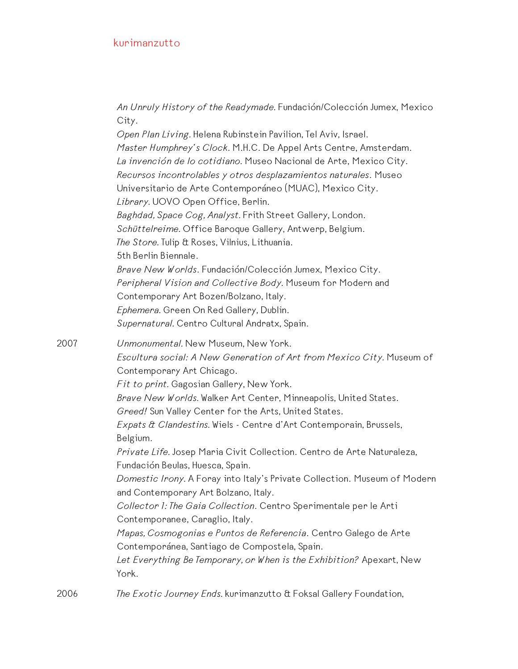*An Unruly History of the Readymade.* Fundación/Colección Jumex, Mexico City. *Open Plan Living.* Helena Rubinstein Pavilion, Tel Aviv, Israel. *Master Humphrey's Clock.* M.H.C. De Appel Arts Centre, Amsterdam. *La invención de lo cotidiano.* Museo Nacional de Arte, Mexico City. *Recursos incontrolables y otros desplazamientos naturales*. Museo Universitario de Arte Contemporáneo (MUAC), Mexico City. *Library.* UOVO Open Office, Berlin. *Baghdad, Space Cog, Analyst.* Frith Street Gallery, London. *Schüttelreime.* Office Baroque Gallery, Antwerp, Belgium. *The Store.* Tulip & Roses, Vilnius, Lithuania. 5th Berlin Biennale. *Brave New Worlds*. Fundación/Colección Jumex, Mexico City. *Peripheral Vision and Collective Body.* Museum for Modern and Contemporary Art Bozen/Bolzano, Italy. *Ephemera.* Green On Red Gallery, Dublin. *Supernatural.* Centro Cultural Andratx, Spain. 2007 *Unmonumental.* New Museum, New York. *Escultura social: A New Generation of Art from Mexico City.* Museum of Contemporary Art Chicago. *Fit to print.* Gagosian Gallery, New York. *Brave New Worlds.* Walker Art Center, Minneapolis, United States. *Greed!* Sun Valley Center for the Arts, United States. *Expats & Clandestins.* Wiels - Centre d'Art Contemporain, Brussels, Belgium. *Private Life.* Josep Maria Civit Collection. Centro de Arte Naturaleza, Fundación Beulas, Huesca, Spain. *Domestic Irony.* A Foray into Italy's Private Collection. Museum of Modern and Contemporary Art Bolzano, Italy. *Collector 1: The Gaia Collection*. Centro Sperimentale per le Arti Contemporanee, Caraglio, Italy. *Mapas, Cosmogonias e Puntos de Referencia*. Centro Galego de Arte Contemporánea, Santiago de Compostela, Spain. *Let Everything Be Temporary, or When is the Exhibition?* Apexart, New York. 2006 *The Exotic Journey Ends.* kurimanzutto & Foksal Gallery Foundation,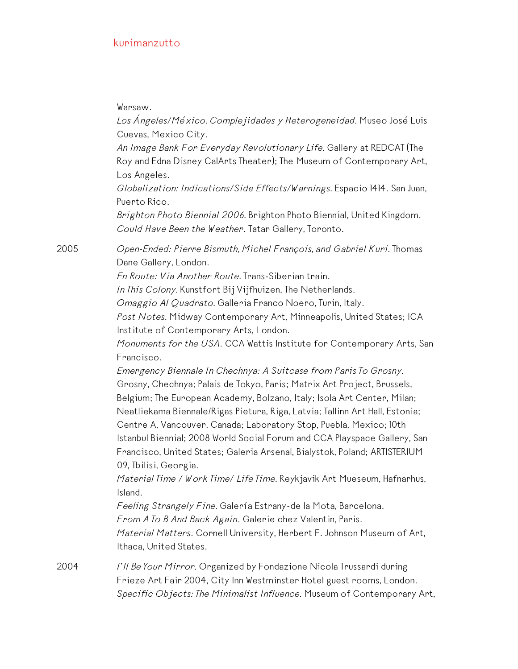Warsaw.

*Los Ángeles/México. Complejidades y Heterogeneidad.* Museo José Luis Cuevas, Mexico City. *An Image Bank For Everyday Revolutionary Life.* Gallery at REDCAT (The Roy and Edna Disney CalArts Theater); The Museum of Contemporary Art, Los Angeles. *Globalization: Indications/Side Effects/Warnings.* Espacio 1414. San Juan, Puerto Rico. *Brighton Photo Biennial 2006.* Brighton Photo Biennial, United Kingdom. *Could Have Been the Weather*. Tatar Gallery, Toronto. 2005 *Open-Ended: Pierre Bismuth, Michel François, and Gabriel Kuri.* Thomas Dane Gallery, London. *En Route: Via Another Route.* Trans-Siberian train. *In This Colony.* Kunstfort Bij Vijfhuizen, The Netherlands. *Omaggio Al Quadrato.* Galleria Franco Noero, Turin, Italy. *Post Notes.* Midway Contemporary Art, Minneapolis, United States; ICA Institute of Contemporary Arts, London. *Monuments for the USA*. CCA Wattis Institute for Contemporary Arts, San Francisco. *Emergency Biennale In Chechnya: A Suitcase from Paris To Grosny.* Grosny, Chechnya; Palais de Tokyo, Paris; Matrix Art Project, Brussels, Belgium; The European Academy, Bolzano, Italy; Isola Art Center, Milan; Neatliekama Biennale/Rigas Pietura, Riga, Latvia; Tallinn Art Hall, Estonia; Centre A, Vancouver, Canada; Laboratory Stop, Puebla, Mexico; 10th Istanbul Biennial; 2008 World Social Forum and CCA Playspace Gallery, San Francisco, United States; Galeria Arsenal, Bialystok, Poland; ARTISTERIUM 09, Tbilisi, Georgia. *Material Time / Work Time/ Life Time.* Reykjavik Art Mueseum, Hafnarhus, Island. *Feeling Strangely Fine.* Galería Estrany-de la Mota, Barcelona. *From A To B And Back Again*. Galerie chez Valentin, Paris. *Material Matters*. Cornell University, Herbert F. Johnson Museum of Art, Ithaca, United States. 2004 *I'll Be Your Mirror.* Organized by Fondazione Nicola Trussardi during Frieze Art Fair 2004, City Inn Westminster Hotel guest rooms, London. *Specific Objects: The Minimalist Influence.* Museum of Contemporary Art,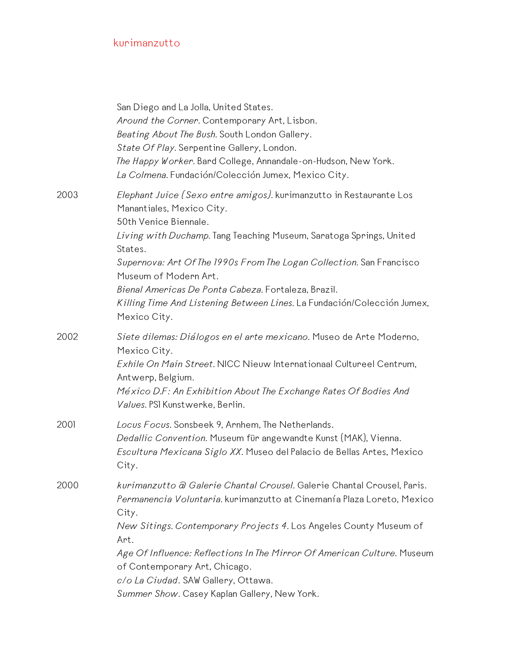|      | San Diego and La Jolla, United States.<br>Around the Corner. Contemporary Art, Lisbon.<br>Beating About The Bush. South London Gallery.<br>State Of Play. Serpentine Gallery, London.<br>The Happy Worker. Bard College, Annandale-on-Hudson, New York.<br>La Colmena. Fundación/Colección Jumex, Mexico City.                                                                                                                                 |
|------|------------------------------------------------------------------------------------------------------------------------------------------------------------------------------------------------------------------------------------------------------------------------------------------------------------------------------------------------------------------------------------------------------------------------------------------------|
| 2003 | Elephant Juice (Sexo entre amigos). kurimanzutto in Restaurante Los<br>Manantiales, Mexico City.<br>50th Venice Biennale.<br>Living with Duchamp. Tang Teaching Museum, Saratoga Springs, United<br>States.<br>Supernova: Art Of The 1990s From The Logan Collection. San Francisco<br>Museum of Modern Art.<br>Bienal Americas De Ponta Cabeza. Fortaleza, Brazil.<br>Killing Time And Listening Between Lines. La Fundación/Colección Jumex, |
| 2002 | Mexico City.<br>Siete dilemas: Diálogos en el arte mexicano. Museo de Arte Moderno,<br>Mexico City.<br>Exhile On Main Street. NICC Nieuw Internationaal Cultureel Centrum,<br>Antwerp, Belgium.<br>México D.F: An Exhibition About The Exchange Rates Of Bodies And<br>Values. PSI Kunstwerke, Berlin.                                                                                                                                         |
| 2001 | Locus Focus. Sonsbeek 9, Arnhem, The Netherlands.<br>Dedallic Convention. Museum für angewandte Kunst (MAK), Vienna.<br>Escultura Mexicana Siglo XX. Museo del Palacio de Bellas Artes, Mexico<br>City.                                                                                                                                                                                                                                        |
| 2000 | kurimanzutto a Galerie Chantal Crousel. Galerie Chantal Crousel, Paris.<br>Permanencia Voluntaria. kurimanzutto at Cinemanía Plaza Loreto, Mexico<br>City.<br>New Sitings. Contemporary Projects 4. Los Angeles County Museum of<br>Art.<br>Age Of Influence: Reflections In The Mirror Of American Culture. Museum<br>of Contemporary Art, Chicago.<br>c/o La Ciudad. SAW Gallery, Ottawa.<br>Summer Show. Casey Kaplan Gallery, New York.    |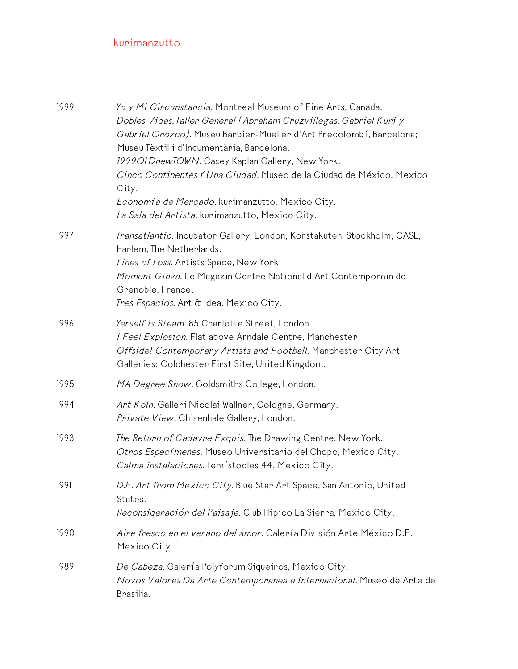| 1999 | Yo y Mi Circunstancia. Montreal Museum of Fine Arts, Canada.<br>Dobles Vidas, Taller General (Abraham Cruzvillegas, Gabriel Kuri y<br>Gabriel Orozco). Museu Barbier-Mueller d'Art Precolombí, Barcelona;<br>Museu Tèxtil i d'Indumentària, Barcelona.<br>1999OLDnewTOWN. Casey Kaplan Gallery, New York.<br>Cinco Continentes Y Una Ciudad. Museo de la Ciudad de México, Mexico<br>City.<br>Economía de Mercado. kurimanzutto, Mexico City.<br>La Sala del Artista. kurimanzutto, Mexico City. |
|------|--------------------------------------------------------------------------------------------------------------------------------------------------------------------------------------------------------------------------------------------------------------------------------------------------------------------------------------------------------------------------------------------------------------------------------------------------------------------------------------------------|
| 1997 | Transatlantic. Incubator Gallery, London; Konstakuten, Stockholm; CASE,<br>Harlem, The Netherlands.<br>Lines of Loss. Artists Space, New York.<br>Moment Ginza. Le Magazin Centre National d'Art Contemporain de<br>Grenoble, France.<br>Tres Espacios. Art & Idea, Mexico City.                                                                                                                                                                                                                 |
| 1996 | Yerself is Steam. 85 Charlotte Street, London.<br>I Feel Explosion. Flat above Arndale Centre, Manchester.<br>Offside! Contemporary Artists and Football. Manchester City Art<br>Galleries; Colchester First Site, United Kingdom.                                                                                                                                                                                                                                                               |
| 1995 | MA Degree Show. Goldsmiths College, London.                                                                                                                                                                                                                                                                                                                                                                                                                                                      |
| 1994 | Art Koln. Galleri Nicolai Wallner, Cologne, Germany.<br>Private View. Chisenhale Gallery, London.                                                                                                                                                                                                                                                                                                                                                                                                |
| 1993 | The Return of Cadavre Exquis. The Drawing Centre, New York.<br>Otros Especímenes. Museo Universitario del Chopo, Mexico City.<br>Calma instalaciones. Temístocles 44, Mexico City.                                                                                                                                                                                                                                                                                                               |
| 1991 | D.F. Art from Mexico City. Blue Star Art Space, San Antonio, United<br>States.<br>Reconsideración del Paisaje. Club Hípico La Sierra, Mexico City.                                                                                                                                                                                                                                                                                                                                               |
| 1990 | Aire fresco en el verano del amor. Galería División Arte México D.F.<br>Mexico City.                                                                                                                                                                                                                                                                                                                                                                                                             |
| 1989 | De Cabeza. Galería Polyforum Siqueiros, Mexico City.<br>Novos Valores Da Arte Contemporanea e Internacional. Museo de Arte de<br>Brasilia.                                                                                                                                                                                                                                                                                                                                                       |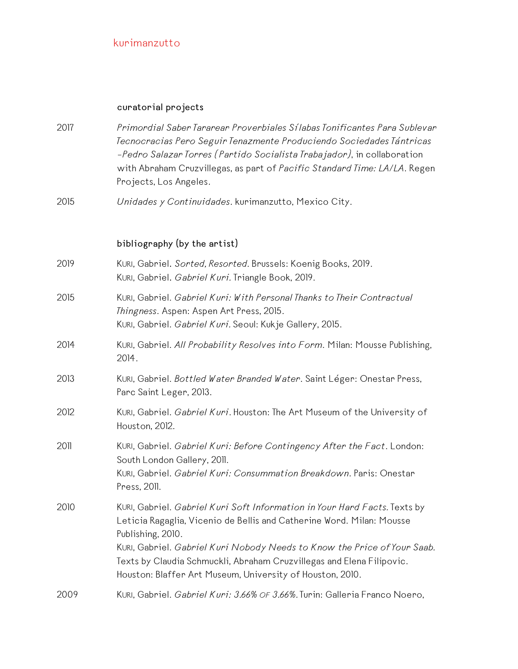#### **curatorial projects**

- 2017 *Primordial Saber Tararear Proverbiales Sílabas Tonificantes Para Sublevar Tecnocracias Pero Seguir Tenazmente Produciendo Sociedades Tántricas* –*Pedro Salazar Torres (Partido Socialista Trabajador)*, in collaboration with Abraham Cruzvillegas, as part of *Pacific Standard Time: LA/LA*. Regen Projects, Los Angeles.
- 2015 *Unidades y Continuidades*. kurimanzutto, Mexico City.

#### **bibliography (by the artist)**

- 2019 KURI, Gabriel**.** *Sorted, Resorted.* Brussels: Koenig Books, 2019. KURI, Gabriel**.** *Gabriel Kuri.* Triangle Book, 2019. 2015 KURI, Gabriel. *Gabriel Kuri: With Personal Thanks to Their Contractual Thingness*. Aspen: Aspen Art Press, 2015.
	- KURI, Gabriel. *Gabriel Kuri.* Seoul: Kukje Gallery, 2015.
- 2014 KURI, Gabriel. *All Probability Resolves into Form*. Milan: Mousse Publishing, 2014.
- 2013 KURI, Gabriel. *Bottled Water Branded Water*. Saint Léger: Onestar Press, Parc Saint Leger, 2013.
- 2012 KURI, Gabriel. *Gabriel Kuri*. Houston: The Art Museum of the University of Houston, 2012.
- 2011 KURI, Gabriel. *Gabriel Kuri: Before Contingency After the Fact*. London: South London Gallery, 2011. KURI, Gabriel. *Gabriel Kuri: Consummation Breakdown*. Paris: Onestar Press, 2011.
- 2010 KURI, Gabriel. *Gabriel Kuri Soft Information in Your Hard Facts.* Texts by Leticia Ragaglia, Vicenio de Bellis and Catherine Word. Milan: Mousse Publishing, 2010. KURI, Gabriel. *Gabriel Kuri Nobody Needs to Know the Price of Your Saab.* Texts by Claudia Schmuckli, Abraham Cruzvillegas and Elena Filipovic. Houston: Blaffer Art Museum, University of Houston, 2010.
- 2009 KURI, Gabriel. *Gabriel Kuri: 3.66% OF 3.66%.* Turin: Galleria Franco Noero,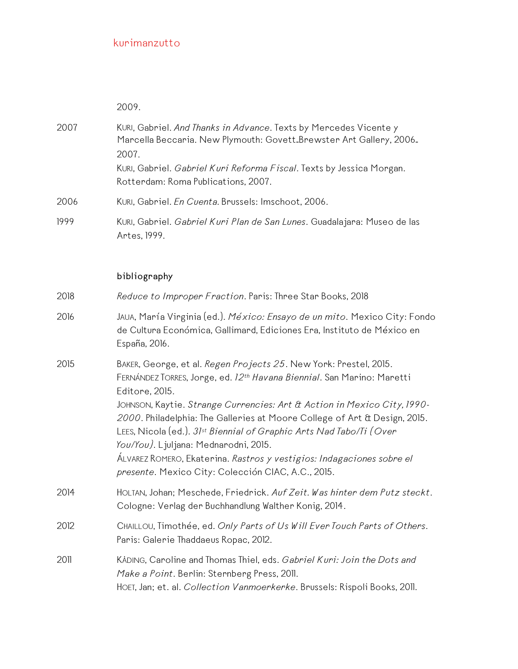2009.

| 2007 | KURI, Gabriel. And Thanks in Advance. Texts by Mercedes Vicente y<br>Marcella Beccaria. New Plymouth: Govett-Brewster Art Gallery, 2006.<br>2007. |
|------|---------------------------------------------------------------------------------------------------------------------------------------------------|
|      | KURI, Gabriel. Gabriel Kuri Reforma Fiscal. Texts by Jessica Morgan.<br>Rotterdam: Roma Publications, 2007.                                       |
| 2006 | KURI, Gabriel. En Cuenta. Brussels: Imschoot, 2006.                                                                                               |
| 1999 | KURI, Gabriel. Gabriel Kuri Plan de San Lunes. Guadalajara: Museo de las<br>Artes, 1999.                                                          |

# **bibliography**

| 2018 | Reduce to Improper Fraction. Paris: Three Star Books, 2018                                                                                                                                                                                                                                                                                                                                                                                                                                                                                                                       |
|------|----------------------------------------------------------------------------------------------------------------------------------------------------------------------------------------------------------------------------------------------------------------------------------------------------------------------------------------------------------------------------------------------------------------------------------------------------------------------------------------------------------------------------------------------------------------------------------|
| 2016 | JAUA, María Virginia (ed.). México: Ensayo de un mito. Mexico City: Fondo<br>de Cultura Económica, Gallimard, Ediciones Era, Instituto de México en<br>España, 2016.                                                                                                                                                                                                                                                                                                                                                                                                             |
| 2015 | BAKER, George, et al. Regen Projects 25. New York: Prestel, 2015.<br>FERNÁNDEZ TORRES, Jorge, ed. 12 <sup>th</sup> Havana Biennial. San Marino: Maretti<br>Editore, 2015.<br>JOHNSON, Kaytie. Strange Currencies: Art & Action in Mexico City, 1990-<br>2000. Philadelphia: The Galleries at Moore College of Art & Design, 2015.<br>LEES, Nicola (ed.). 31st Biennial of Graphic Arts Nad Tabo/Ti (Over<br>You/You). Ljuljana: Mednarodni, 2015.<br>ÁLVAREZ ROMERO, Ekaterina. Rastros y vestigios: Indagaciones sobre el<br>presente. Mexico City: Colección CIAC, A.C., 2015. |
| 2014 | HOLTAN, Johan; Meschede, Friedrick. Auf Zeit. Was hinter dem Putz steckt.<br>Cologne: Verlag der Buchhandlung Walther Konig, 2014.                                                                                                                                                                                                                                                                                                                                                                                                                                               |
| 2012 | CHAILLOU, Timothée, ed. Only Parts of Us Will Ever Touch Parts of Others.<br>Paris: Galerie Thaddaeus Ropac, 2012.                                                                                                                                                                                                                                                                                                                                                                                                                                                               |
| 2011 | KADING, Caroline and Thomas Thiel, eds. Gabriel Kuri: Join the Dots and<br>Make a Point. Berlin: Sternberg Press, 2011.<br>HOET, Jan; et. al. Collection Vanmoerkerke. Brussels: Rispoli Books, 2011.                                                                                                                                                                                                                                                                                                                                                                            |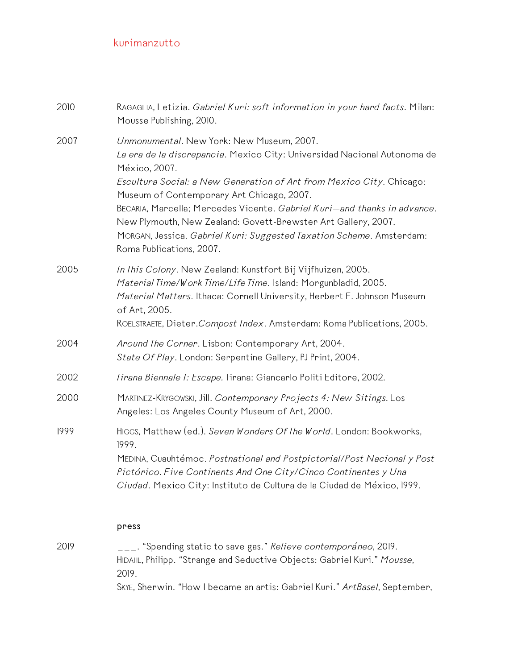| 2010 | RAGAGLIA, Letizia. Gabriel Kuri: soft information in your hard facts. Milan:<br>Mousse Publishing, 2010.                                                                                                                                                                                                                                                                                                                                                                                                     |
|------|--------------------------------------------------------------------------------------------------------------------------------------------------------------------------------------------------------------------------------------------------------------------------------------------------------------------------------------------------------------------------------------------------------------------------------------------------------------------------------------------------------------|
| 2007 | Unmonumental. New York: New Museum, 2007.<br>La era de la discrepancia. Mexico City: Universidad Nacional Autonoma de<br>México, 2007.<br>Escultura Social: a New Generation of Art from Mexico City. Chicago:<br>Museum of Contemporary Art Chicago, 2007.<br>BECARIA, Marcella; Mercedes Vicente. Gabriel Kuri-and thanks in advance.<br>New Plymouth, New Zealand: Govett-Brewster Art Gallery, 2007.<br>MORGAN, Jessica. Gabriel Kuri: Suggested Taxation Scheme. Amsterdam:<br>Roma Publications, 2007. |
| 2005 | In This Colony. New Zealand: Kunstfort Bij Vijfhuizen, 2005.<br>Material Time/Work Time/Life Time. Island: Morgunbladid, 2005.<br>Material Matters. Ithaca: Cornell University, Herbert F. Johnson Museum<br>of Art, 2005.<br>ROELSTRAETE, Dieter.Compost Index. Amsterdam: Roma Publications, 2005.                                                                                                                                                                                                         |
| 2004 | Around The Corner. Lisbon: Contemporary Art, 2004.<br>State Of Play. London: Serpentine Gallery, PJ Print, 2004.                                                                                                                                                                                                                                                                                                                                                                                             |
| 2002 | Tirana Biennale 1: Escape. Tirana: Giancarlo Politi Editore, 2002.                                                                                                                                                                                                                                                                                                                                                                                                                                           |
| 2000 | MARTINEZ-KRYGOWSKI, Jill. Contemporary Projects 4: New Sitings. Los<br>Angeles: Los Angeles County Museum of Art, 2000.                                                                                                                                                                                                                                                                                                                                                                                      |
| 1999 | HIGGS, Matthew (ed.). Seven Wonders Of The World. London: Bookworks,<br>1999.<br>MEDINA, Cuauhtémoc. Postnational and Postpictorial/Post Nacional y Post<br>Pictórico. Five Continents And One City/Cinco Continentes y Una<br>Ciudad. Mexico City: Instituto de Cultura de la Ciudad de México, 1999.                                                                                                                                                                                                       |

#### **press**

2019 \_\_\_. "Spending static to save gas." *Relieve contemporáneo*, 2019. HIDAHL, Philipp. "Strange and Seductive Objects: Gabriel Kuri." *Mousse*, 2019. SKYE, Sherwin. "How I became an artis: Gabriel Kuri." *ArtBasel*, September,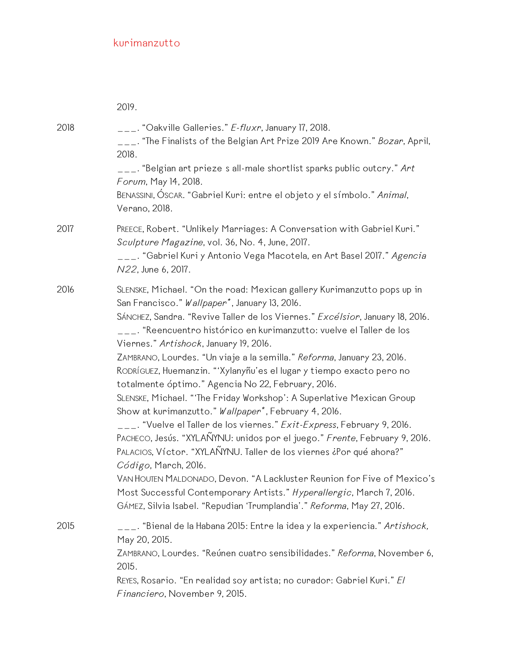|      | 2019.                                                                                                                                                                                                                                                                                                                                                                                                                                                                                                                                                                                                                                                                                                                                                                                                                                                                                                                                                                                                                                                                                                                                                                 |
|------|-----------------------------------------------------------------------------------------------------------------------------------------------------------------------------------------------------------------------------------------------------------------------------------------------------------------------------------------------------------------------------------------------------------------------------------------------------------------------------------------------------------------------------------------------------------------------------------------------------------------------------------------------------------------------------------------------------------------------------------------------------------------------------------------------------------------------------------------------------------------------------------------------------------------------------------------------------------------------------------------------------------------------------------------------------------------------------------------------------------------------------------------------------------------------|
| 2018 | $\mu_{\text{max}}$ "Oakville Galleries." E-fluxr, January 17, 2018.<br>___. "The Finalists of the Belgian Art Prize 2019 Are Known." <i>Bozar</i> , April,<br>2018.<br>$\overline{z}$ . "Belgian art prieze s all-male shortlist sparks public outcry." Art<br>Forum, May 14, 2018.<br>BENASSINI, ÓSCAR. "Gabriel Kuri: entre el objeto y el símbolo." Animal,                                                                                                                                                                                                                                                                                                                                                                                                                                                                                                                                                                                                                                                                                                                                                                                                        |
| 2017 | Verano, 2018.<br>PREECE, Robert. "Unlikely Marriages: A Conversation with Gabriel Kuri."<br>Sculpture Magazine, vol. 36, No. 4, June, 2017.<br>___. "Gabriel Kuri y Antonio Vega Macotela, en Art Basel 2017." <i>Agencia</i><br>N22, June 6, 2017.                                                                                                                                                                                                                                                                                                                                                                                                                                                                                                                                                                                                                                                                                                                                                                                                                                                                                                                   |
| 2016 | SLENSKE, Michael. "On the road: Mexican gallery Kurimanzutto pops up in<br>San Francisco." Wallpaper <sup>*</sup> , January 13, 2016.<br>SÁNCHEZ, Sandra. "Revive Taller de los Viernes." Excélsior, January 18, 2016.<br>___. "Reencuentro histórico en kurimanzutto: vuelve el Taller de los<br>Viernes." Artishock, January 19, 2016.<br>ZAMBRANO, Lourdes. "Un viaje a la semilla." Reforma, January 23, 2016.<br>RODRÍGUEZ, Huemanzin. "'Xylanyñu'es el lugar y tiempo exacto pero no<br>totalmente óptimo." Agencia No 22, February, 2016.<br>SLENSKE, Michael. "The Friday Workshop': A Superlative Mexican Group<br>Show at kurimanzutto." Wallpaper*, February 4, 2016.<br>___. "Vuelve el Taller de los viernes." Exit-Express, February 9, 2016.<br>PACHECO, Jesús. "XYLAÑYNU: unidos por el juego." Frente, February 9, 2016.<br>PALACIOS, Víctor. "XYLAÑYNU. Taller de los viernes ¿Por qué ahora?"<br>Código, March, 2016.<br>VAN HOUTEN MALDONADO, Devon. "A Lackluster Reunion for Five of Mexico's<br>Most Successful Contemporary Artists." Hyperallergic, March 7, 2016.<br>GÁMEZ, Silvia Isabel. "Repudian 'Trumplandia'." Reforma, May 27, 2016. |
| 2015 | ___. "Bienal de la Habana 2015: Entre la idea y la experiencia." <i>Artishock,</i><br>May 20, 2015.<br>ZAMBRANO, Lourdes. "Reúnen cuatro sensibilidades." Reforma, November 6,<br>2015.<br>REYES, Rosario. "En realidad soy artista; no curador: Gabriel Kuri." El<br>Financiero, November 9, 2015.                                                                                                                                                                                                                                                                                                                                                                                                                                                                                                                                                                                                                                                                                                                                                                                                                                                                   |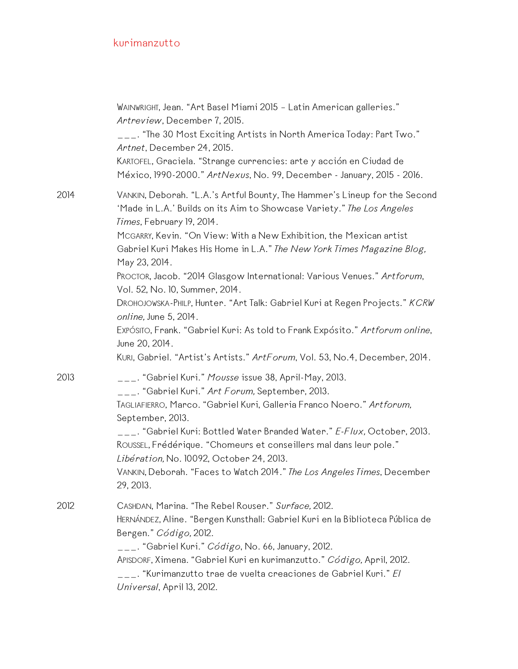|      | WAINWRIGHT, Jean. "Art Basel Miami 2015 - Latin American galleries."<br>Artreview, December 7, 2015.<br>$_{---}$ . "The 30 Most Exciting Artists in North America Today: Part Two."<br>Artnet, December 24, 2015.<br>KARTOFEL, Graciela. "Strange currencies: arte y acción en Ciudad de<br>México, 1990-2000." ArtNexus, No. 99, December - January, 2015 - 2016.                                                                                                                                                                                                                                                                                                                                                                                        |
|------|-----------------------------------------------------------------------------------------------------------------------------------------------------------------------------------------------------------------------------------------------------------------------------------------------------------------------------------------------------------------------------------------------------------------------------------------------------------------------------------------------------------------------------------------------------------------------------------------------------------------------------------------------------------------------------------------------------------------------------------------------------------|
| 2014 | VANKIN, Deborah. "L.A.'s Artful Bounty, The Hammer's Lineup for the Second<br>'Made in L.A.' Builds on its Aim to Showcase Variety." The Los Angeles<br>Times, February 19, 2014.<br>MCGARRY, Kevin. "On View: With a New Exhibition, the Mexican artist<br>Gabriel Kuri Makes His Home in L.A." The New York Times Magazine Blog,<br>May 23, 2014.<br>PROCTOR, Jacob. "2014 Glasgow International: Various Venues." Artforum,<br>Vol. 52, No. 10, Summer, 2014.<br>DROHOJOWSKA-PHILP, Hunter. "Art Talk: Gabriel Kuri at Regen Projects." KCRW<br>online, June 5, 2014.<br>Expósito, Frank. "Gabriel Kuri: As told to Frank Expósito." Artforum online,<br>June 20, 2014.<br>KURI, Gabriel. "Artist's Artists." ArtForum, Vol. 53, No.4, December, 2014. |
| 2013 | $\overline{a}$ $\overline{a}$ "Gabriel Kuri." Mousse issue 38, April-May, 2013.<br>___. "Gabriel Kuri." Art Forum, September, 2013.<br>TAGLIAFIERRO, Marco. "Gabriel Kuri, Galleria Franco Noero." Artforum,<br>September, 2013.<br>___. "Gabriel Kuri: Bottled Water Branded Water." E-Flux, October, 2013.<br>ROUSSEL, Frédérique. "Chomeurs et conseillers mal dans leur pole."<br>Libération, No. 10092, October 24, 2013.<br>VANKIN, Deborah. "Faces to Watch 2014." The Los Angeles Times, December<br>29, 2013.                                                                                                                                                                                                                                    |
| 2012 | CASHDAN, Marina. "The Rebel Rouser." Surface, 2012.<br>HERNÁNDEZ, Aline. "Bergen Kunsthall: Gabriel Kuri en la Biblioteca Pública de<br>Bergen." Código, 2012.<br>$\overline{a}$ = $\overline{a}$ . "Gabriel Kuri." Código, No. 66, January, 2012.<br>APISDORF, Ximena. "Gabriel Kuri en kurimanzutto." Código, April, 2012.<br>___. "Kurimanzutto trae de vuelta creaciones de Gabriel Kuri." <i>El</i><br>Universal, April 13, 2012.                                                                                                                                                                                                                                                                                                                    |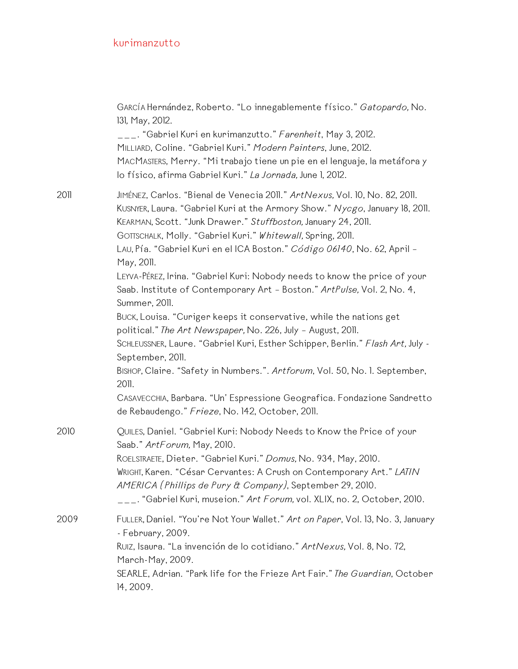|      | GARCÍA Hernández, Roberto. "Lo innegablemente físico." Gatopardo, No.<br>131, May, 2012.<br>___. "Gabriel Kuri en kurimanzutto." Farenheit, May 3, 2012.<br>MILLIARD, Coline. "Gabriel Kuri." Modern Painters, June, 2012.<br>MACMASTERS, Merry. "Mi trabajo tiene un pie en el lenguaje, la metáfora y<br>lo físico, afirma Gabriel Kuri." La Jornada, June 1, 2012.                                                                                             |
|------|-------------------------------------------------------------------------------------------------------------------------------------------------------------------------------------------------------------------------------------------------------------------------------------------------------------------------------------------------------------------------------------------------------------------------------------------------------------------|
| 2011 | JIMÉNEZ, Carlos. "Bienal de Venecia 2011." ArtNexus, Vol. 10, No. 82, 2011.<br>KUSNYER, Laura. "Gabriel Kuri at the Armory Show." Nycgo, January 18, 2011.<br>KEARMAN, Scott. "Junk Drawer." Stuffboston, January 24, 2011.<br>GOTTSCHALK, Molly. "Gabriel Kuri." Whitewall, Spring, 2011.<br>LAU, Pía. "Gabriel Kuri en el ICA Boston." Código 06140, No. 62, April -<br>May, 2011.<br>LEYVA-PÉREZ, Irina. "Gabriel Kuri: Nobody needs to know the price of your |
|      | Saab. Institute of Contemporary Art - Boston." ArtPulse, Vol. 2, No. 4,<br>Summer, 2011.<br>BUCK, Louisa. "Curiger keeps it conservative, while the nations get<br>political." The Art Newspaper, No. 226, July - August, 2011.<br>SCHLEUSSNER, Laure. "Gabriel Kuri, Esther Schipper, Berlin." Flash Art, July -<br>September, 2011.<br>BISHOP, Claire. "Safety in Numbers.". Artforum, Vol. 50, No. l. September,                                               |
|      | 2011.<br>CASAVECCHIA, Barbara. "Un' Espressione Geografica. Fondazione Sandretto<br>de Rebaudengo." Frieze, No. 142, October, 2011.                                                                                                                                                                                                                                                                                                                               |
| 2010 | QUILES, Daniel. "Gabriel Kuri: Nobody Needs to Know the Price of your<br>Saab." ArtForum, May, 2010.<br>ROELSTRAETE, Dieter. "Gabriel Kuri." Domus, No. 934, May, 2010.<br>WRIGHT, Karen. "César Cervantes: A Crush on Contemporary Art." LATIN<br>AMERICA (Phillips de Pury & Company), September 29, 2010.<br>___. "Gabriel Kuri, museion." <i>Art Forum,</i> vol. XLIX, no. 2, October, 2010.                                                                  |
| 2009 | FULLER, Daniel. "You're Not Your Wallet." Art on Paper, Vol. 13, No. 3, January<br>- February, 2009.<br>RUIZ, Isaura. "La invención de lo cotidiano." ArtNexus, Vol. 8, No. 72,<br>March-May, 2009.<br>SEARLE, Adrian. "Park life for the Frieze Art Fair." The Guardian, October<br>14, 2009.                                                                                                                                                                    |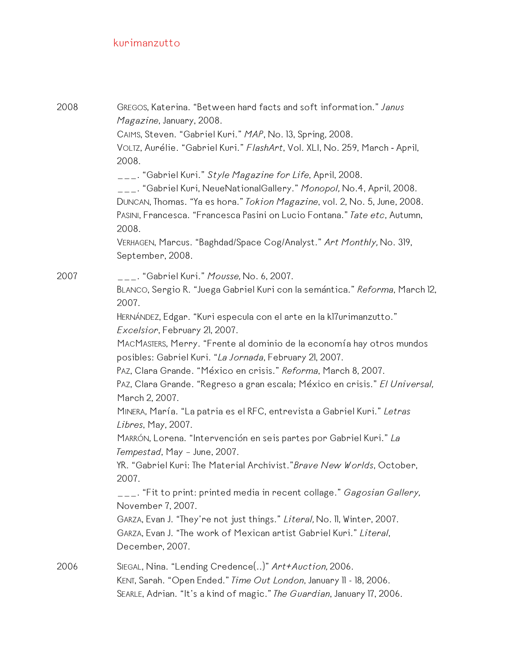| 2008 | GREGOS, Katerina. "Between hard facts and soft information." Janus<br>Magazine, January, 2008.<br>CAIMS, Steven. "Gabriel Kuri." MAP, No. 13, Spring, 2008.<br>VOLTZ, Aurélie. "Gabriel Kuri." FlashArt, Vol. XLI, No. 259, March - April,<br>2008.<br>___. "Gabriel Kuri." Style Magazine for Life, April, 2008.<br>___. "Gabriel Kuri, NeueNationalGallery." Monopol, No.4, April, 2008. |
|------|--------------------------------------------------------------------------------------------------------------------------------------------------------------------------------------------------------------------------------------------------------------------------------------------------------------------------------------------------------------------------------------------|
|      | DUNCAN, Thomas. "Ya es hora." Tokion Magazine, vol. 2, No. 5, June, 2008.<br>PASINI, Francesca. "Francesca Pasini on Lucio Fontana." Tate etc, Autumn,<br>2008.                                                                                                                                                                                                                            |
|      | VERHAGEN, Marcus. "Baghdad/Space Cog/Analyst." Art Monthly, No. 319,<br>September, 2008.                                                                                                                                                                                                                                                                                                   |
| 2007 | ___. "Gabriel Kuri." <i>Mousse,</i> No. 6, 2007.                                                                                                                                                                                                                                                                                                                                           |
|      | BLANCO, Sergio R. "Juega Gabriel Kuri con la semántica." Reforma, March 12,<br>2007.                                                                                                                                                                                                                                                                                                       |
|      | HERNÁNDEZ, Edgar. "Kuri especula con el arte en la kl7urimanzutto."<br>Excelsior, February 21, 2007.                                                                                                                                                                                                                                                                                       |
|      | MACMASTERS, Merry. "Frente al dominio de la economía hay otros mundos<br>posibles: Gabriel Kuri. "La Jornada, February 21, 2007.                                                                                                                                                                                                                                                           |
|      | PAZ, Clara Grande. "México en crisis." Reforma, March 8, 2007.                                                                                                                                                                                                                                                                                                                             |
|      | PAZ, Clara Grande. "Regreso a gran escala; México en crisis." El Universal,<br>March 2, 2007.                                                                                                                                                                                                                                                                                              |
|      | MINERA, María. "La patria es el RFC, entrevista a Gabriel Kuri." Letras<br>Libres, May, 2007.                                                                                                                                                                                                                                                                                              |
|      | MARRÓN, Lorena. "Intervención en seis partes por Gabriel Kuri." La<br>Tempestad, May - June, 2007.                                                                                                                                                                                                                                                                                         |
|      | YR. "Gabriel Kuri: The Material Archivist." Brave New Worlds, October,<br>2007.                                                                                                                                                                                                                                                                                                            |
|      | ___. "Fit to print: printed media in recent collage." <i>Gagosian Gallery,</i><br>November 7, 2007.                                                                                                                                                                                                                                                                                        |
|      | GARZA, Evan J. "They're not just things." Literal, No. II, Winter, 2007.                                                                                                                                                                                                                                                                                                                   |
|      | GARZA, Evan J. "The work of Mexican artist Gabriel Kuri." Literal,<br>December, 2007.                                                                                                                                                                                                                                                                                                      |
| 2006 | SIEGAL, Nina. "Lending Credence()" Art+Auction, 2006.                                                                                                                                                                                                                                                                                                                                      |
|      | KENT, Sarah. "Open Ended." Time Out London, January 11 - 18, 2006.                                                                                                                                                                                                                                                                                                                         |
|      | SEARLE, Adrian. "It's a kind of magic." The Guardian, January 17, 2006.                                                                                                                                                                                                                                                                                                                    |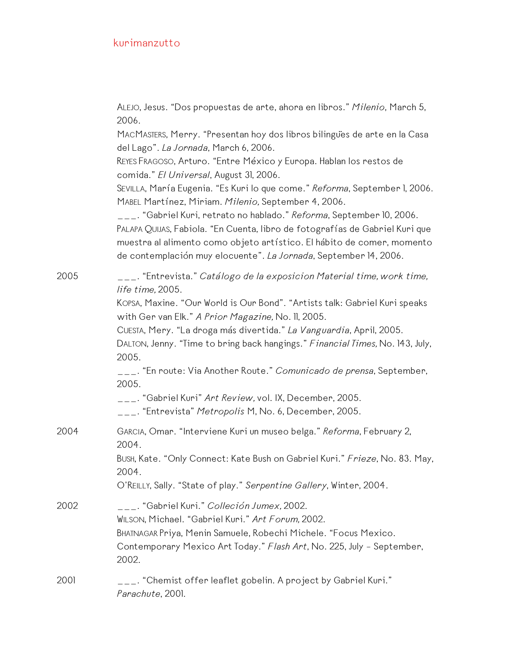|      | ALEJO, Jesus. "Dos propuestas de arte, ahora en libros." Milenio, March 5,<br>2006.                                                                                                                                                                                                                 |
|------|-----------------------------------------------------------------------------------------------------------------------------------------------------------------------------------------------------------------------------------------------------------------------------------------------------|
|      | MACMASTERS, Merry. "Presentan hoy dos libros bilingues de arte en la Casa<br>del Lago". La Jornada, March 6, 2006.                                                                                                                                                                                  |
|      | REYES FRAGOSO, Arturo. "Entre México y Europa. Hablan los restos de<br>comida." El Universal, August 31, 2006.                                                                                                                                                                                      |
|      | SEVILLA, María Eugenia. "Es Kuri lo que come." Reforma, September 1, 2006.<br>MABEL Martínez, Miriam. Milenio, September 4, 2006.                                                                                                                                                                   |
|      | ___. "Gabriel Kuri, retrato no hablado." Reforma, September 10, 2006.<br>PALAPA QUIJAS, Fabiola. "En Cuenta, libro de fotografías de Gabriel Kuri que<br>muestra al alimento como objeto artístico. El hábito de comer, momento<br>de contemplación muy elocuente". La Jornada, September 14, 2006. |
| 2005 | ___. "Entrevista." <i>Catálogo de la exposicion Material time, work time,</i><br>life time, 2005.                                                                                                                                                                                                   |
|      | KOPSA, Maxine. "Our World is Our Bond". "Artists talk: Gabriel Kuri speaks<br>with Ger van Elk." A Prior Magazine, No. 11, 2005.                                                                                                                                                                    |
|      | CUESTA, Mery. "La droga más divertida." La Vanguardia, April, 2005.<br>DALTON, Jenny. "Time to bring back hangings." Financial Times, No. 143, July,<br>2005.                                                                                                                                       |
|      | ___. "En route: Via Another Route." Comunicado de prensa, September,<br>2005.                                                                                                                                                                                                                       |
|      | $\_{---}$ . "Gabriel Kuri" Art Review, vol. IX, December, 2005.<br>___. "Entrevista" Metropolis M, No. 6, December, 2005.                                                                                                                                                                           |
| 2004 | GARCIA, Omar. "Interviene Kuri un museo belga." Reforma, February 2,<br>2004.                                                                                                                                                                                                                       |
|      | BUSH, Kate. "Only Connect: Kate Bush on Gabriel Kuri." Frieze, No. 83. May,<br>2004.                                                                                                                                                                                                                |
|      | O'REILLY, Sally. "State of play." Serpentine Gallery, Winter, 2004.                                                                                                                                                                                                                                 |
| 2002 | ___. "Gabriel Kuri." <i>Colleción Jumex,</i> 2002.                                                                                                                                                                                                                                                  |
|      | WILSON, Michael. "Gabriel Kuri." Art Forum, 2002.<br>BHATNAGAR Priya, Menin Samuele, Robechi Michele. "Focus Mexico.<br>Contemporary Mexico Art Today." Flash Art, No. 225, July - September,<br>2002.                                                                                              |
| 2001 | ___. "Chemist offer leaflet gobelin. A project by Gabriel Kuri."<br>Parachute, 2001.                                                                                                                                                                                                                |